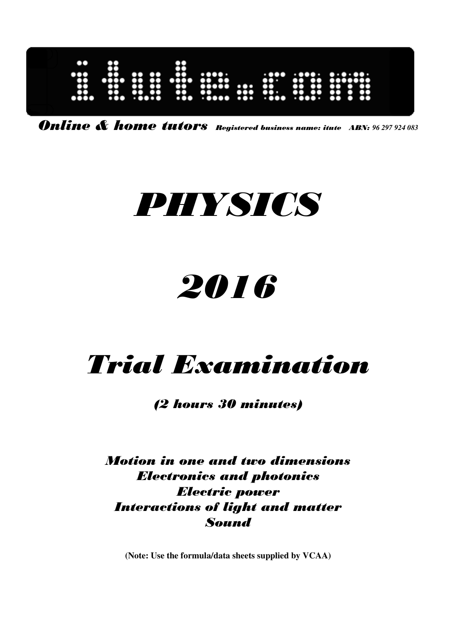

Online & home tutors Registered business name: itute ABN: *96 297 924 083* 

# PHYSICS

# 2016

## Trial Examination

(2 hours 30 minutes)

Motion in one and two dimensions Electronics and photonics Electric power Interactions of light and matter Sound

**(Note: Use the formula/data sheets supplied by VCAA)**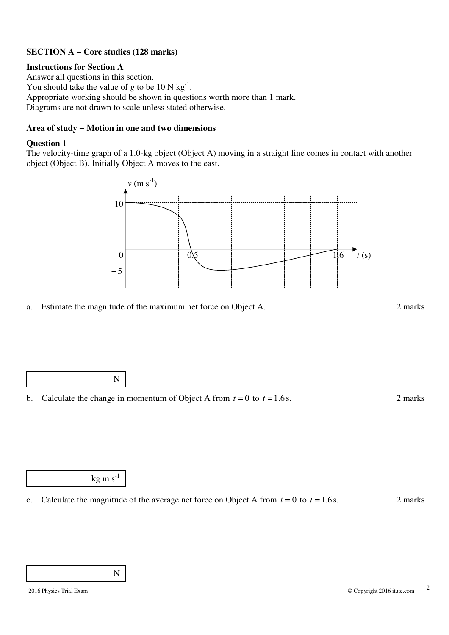#### **SECTION A – Core studies (128 marks)**

#### **Instructions for Section A**

Answer all questions in this section. You should take the value of *g* to be 10 N kg<sup>-1</sup>. Appropriate working should be shown in questions worth more than 1 mark. Diagrams are not drawn to scale unless stated otherwise.

#### **Area of study − Motion in one and two dimensions**

#### **Question 1**

The velocity-time graph of a 1.0-kg object (Object A) moving in a straight line comes in contact with another object (Object B). Initially Object A moves to the east.



a. Estimate the magnitude of the maximum net force on Object A. 2 marks



b. Calculate the change in momentum of Object A from  $t = 0$  to  $t = 1.6$  s. 2 marks

kg m  $s^{-1}$ 

c. Calculate the magnitude of the average net force on Object A from  $t = 0$  to  $t = 1.6$  s. 2 marks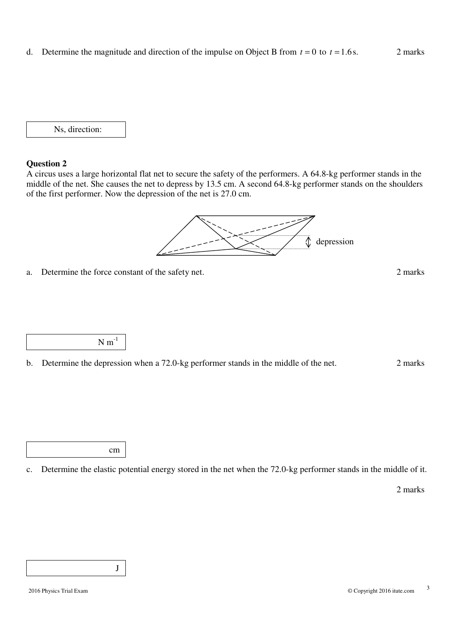d. Determine the magnitude and direction of the impulse on Object B from  $t = 0$  to  $t = 1.6$  s. 2 marks

Ns, direction:

#### **Question 2**

A circus uses a large horizontal flat net to secure the safety of the performers. A 64.8-kg performer stands in the middle of the net. She causes the net to depress by 13.5 cm. A second 64.8-kg performer stands on the shoulders of the first performer. Now the depression of the net is 27.0 cm.

> ⇕ depression

a. Determine the force constant of the safety net. 2 marks

 $N m^{-1}$ 

b. Determine the depression when a 72.0-kg performer stands in the middle of the net. 2 marks

cm

c. Determine the elastic potential energy stored in the net when the 72.0-kg performer stands in the middle of it.

2 marks

J

ſ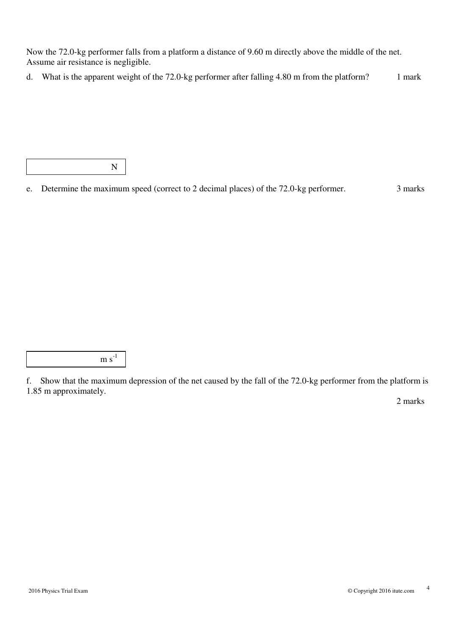Now the 72.0-kg performer falls from a platform a distance of 9.60 m directly above the middle of the net. Assume air resistance is negligible.

d. What is the apparent weight of the 72.0-kg performer after falling 4.80 m from the platform? 1 mark

N

e. Determine the maximum speed (correct to 2 decimal places) of the 72.0-kg performer. 3 marks

 $m s^{-1}$ 

f. Show that the maximum depression of the net caused by the fall of the 72.0-kg performer from the platform is 1.85 m approximately.

2 marks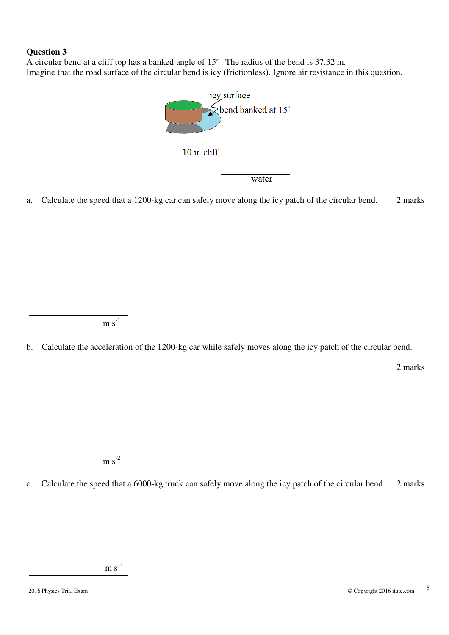A circular bend at a cliff top has a banked angle of 15° . The radius of the bend is 37.32 m. Imagine that the road surface of the circular bend is icy (frictionless). Ignore air resistance in this question.



a. Calculate the speed that a 1200-kg car can safely move along the icy patch of the circular bend. 2 marks

 $m s^{-1}$ 

b. Calculate the acceleration of the 1200-kg car while safely moves along the icy patch of the circular bend.

2 marks

 $m s<sup>-2</sup>$ 

c. Calculate the speed that a 6000-kg truck can safely move along the icy patch of the circular bend. 2 marks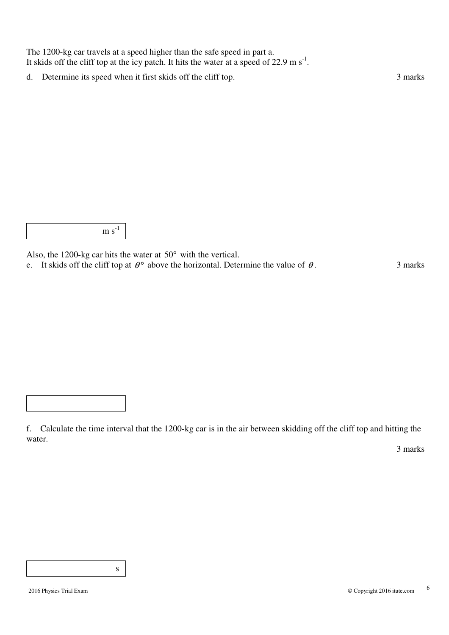The 1200-kg car travels at a speed higher than the safe speed in part a. It skids off the cliff top at the icy patch. It hits the water at a speed of 22.9 m s<sup>-1</sup>.

d. Determine its speed when it first skids off the cliff top. 3 marks

 $m s<sup>-1</sup>$ 

Also, the 1200-kg car hits the water at 50° with the vertical.

e. It skids off the cliff top at  $\theta^{\circ}$  above the horizontal. Determine the value of  $\theta$ . 3 marks

f. Calculate the time interval that the 1200-kg car is in the air between skidding off the cliff top and hitting the water.

3 marks

s and the state of  $\mathbf S$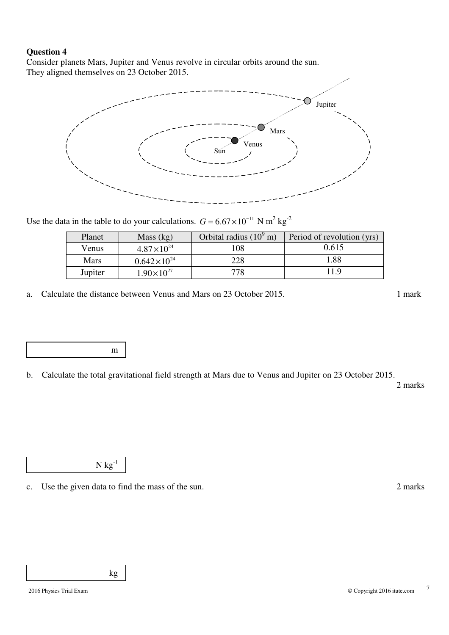Consider planets Mars, Jupiter and Venus revolve in circular orbits around the sun. They aligned themselves on 23 October 2015.



Use the data in the table to do your calculations.  $G = 6.67 \times 10^{-11}$  N m<sup>2</sup> kg<sup>-2</sup>

| Planet      | Mass (kg)             | Orbital radius $(10^9 \text{ m})$ | Period of revolution (yrs) |
|-------------|-----------------------|-----------------------------------|----------------------------|
| Venus       | $4.87 \times 10^{24}$ | 108                               | 0.615                      |
| <b>Mars</b> | $0.642\times10^{24}$  | 228                               | 1.88                       |
| Jupiter     | $1.90\times10^{27}$   | 778                               | 11.9                       |

a. Calculate the distance between Venus and Mars on 23 October 2015. 1 mark

m<sub>m</sub>

b. Calculate the total gravitational field strength at Mars due to Venus and Jupiter on 23 October 2015.

2 marks

 $N kg^{-1}$ 

c. Use the given data to find the mass of the sun. 2 marks

kg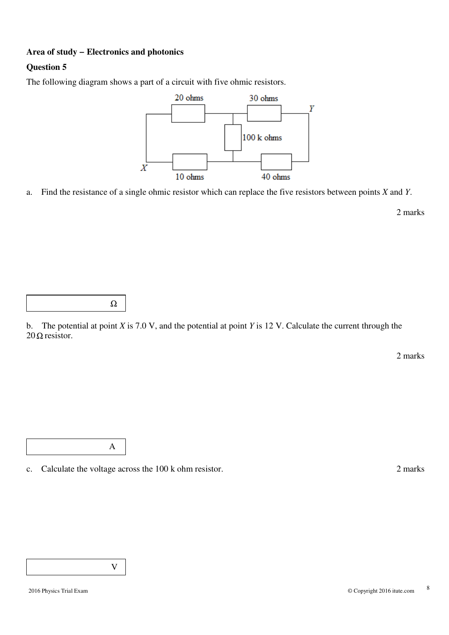#### **Area of study − Electronics and photonics**

#### **Question 5**

The following diagram shows a part of a circuit with five ohmic resistors.



a. Find the resistance of a single ohmic resistor which can replace the five resistors between points *X* and *Y*.

2 marks

|--|

A

b. The potential at point *X* is 7.0 V, and the potential at point *Y* is 12 V. Calculate the current through the  $20 \Omega$  resistor.

2 marks

c. Calculate the voltage across the 100 k ohm resistor. 2 marks

V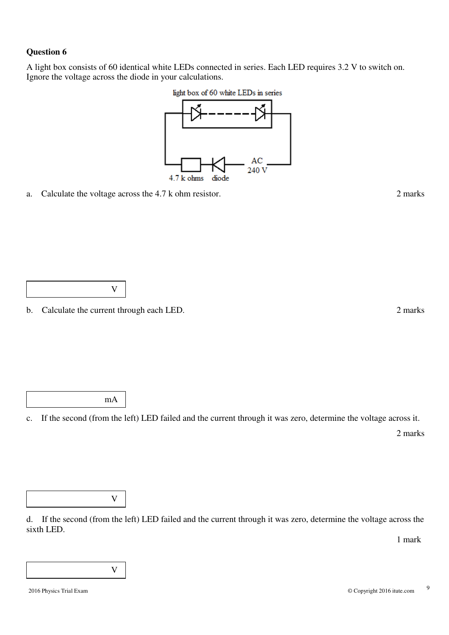A light box consists of 60 identical white LEDs connected in series. Each LED requires 3.2 V to switch on. Ignore the voltage across the diode in your calculations.





a. Calculate the voltage across the 4.7 k ohm resistor. 2 marks

b. Calculate the current through each LED. 2 marks

mA

c. If the second (from the left) LED failed and the current through it was zero, determine the voltage across it.

2 marks

V

d. If the second (from the left) LED failed and the current through it was zero, determine the voltage across the sixth LED.

1 mark

V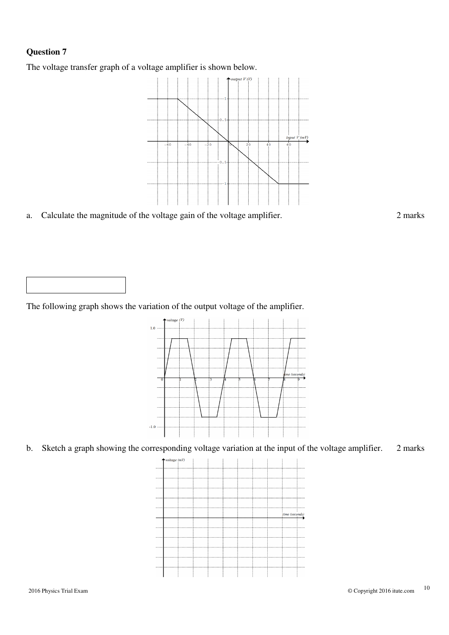The voltage transfer graph of a voltage amplifier is shown below.



a. Calculate the magnitude of the voltage gain of the voltage amplifier. 2 marks



The following graph shows the variation of the output voltage of the amplifier.



b. Sketch a graph showing the corresponding voltage variation at the input of the voltage amplifier. 2 marks

 $(mV)$  $\ddotsc$ time (seconds)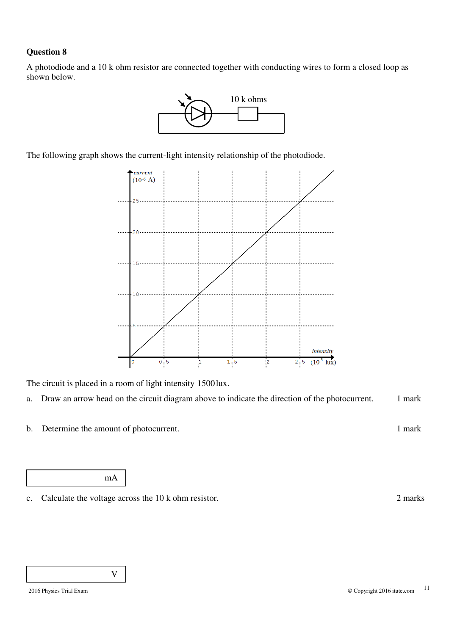A photodiode and a 10 k ohm resistor are connected together with conducting wires to form a closed loop as shown below.



The following graph shows the current-light intensity relationship of the photodiode.



The circuit is placed in a room of light intensity 1500lux.

- a. Draw an arrow head on the circuit diagram above to indicate the direction of the photocurrent. 1 mark
- b. Determine the amount of photocurrent. 1 mark

mA

c. Calculate the voltage across the 10 k ohm resistor. 2 marks

V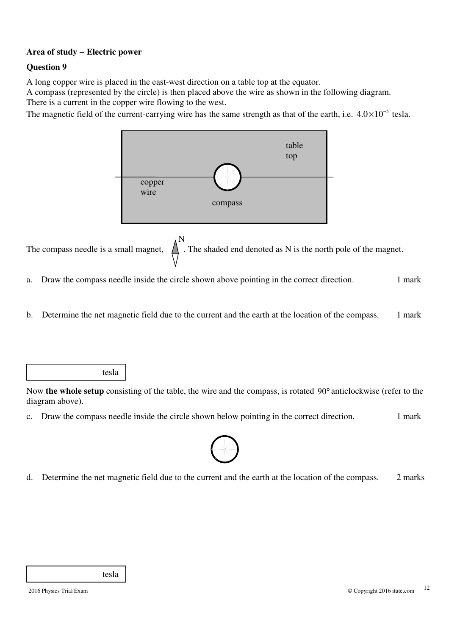#### **Area of study − Electric power**

#### **Question 9**

A long copper wire is placed in the east-west direction on a table top at the equator.

A compass (represented by the circle) is then placed above the wire as shown in the following diagram. There is a current in the copper wire flowing to the west.

The magnetic field of the current-carrying wire has the same strength as that of the earth, i.e.  $4.0 \times 10^{-5}$  tesla.



The compass needle is a small magnet,  $\overrightarrow{A}$  . The shaded end denoted as N is the north pole of the magnet.

- a. Draw the compass needle inside the circle shown above pointing in the correct direction. 1 mark
- b. Determine the net magnetic field due to the current and the earth at the location of the compass. 1 mark

tesla

Now **the whole setup** consisting of the table, the wire and the compass, is rotated 90° anticlockwise (refer to the diagram above).

c. Draw the compass needle inside the circle shown below pointing in the correct direction. 1 mark



d. Determine the net magnetic field due to the current and the earth at the location of the compass. 2 marks

tesla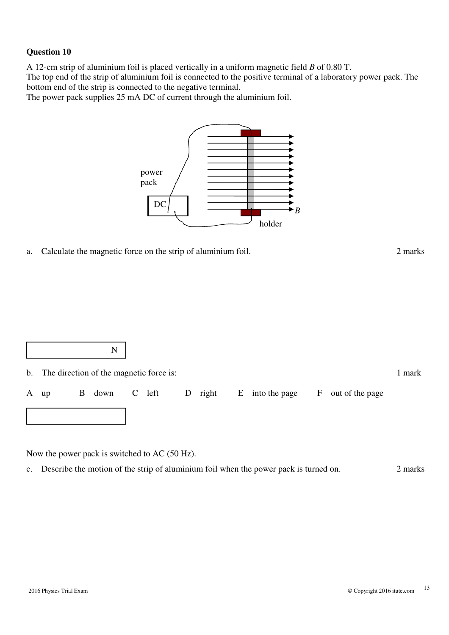A 12-cm strip of aluminium foil is placed vertically in a uniform magnetic field *B* of 0.80 T.

The top end of the strip of aluminium foil is connected to the positive terminal of a laboratory power pack. The bottom end of the strip is connected to the negative terminal.

The power pack supplies 25 mA DC of current through the aluminium foil.



a. Calculate the magnetic force on the strip of aluminium foil. 2 marks

|                                            |   | N           |  |  |         |                 |                 |                 |        |
|--------------------------------------------|---|-------------|--|--|---------|-----------------|-----------------|-----------------|--------|
| b. The direction of the magnetic force is: |   |             |  |  |         |                 |                 |                 | 1 mark |
| A up                                       | B | down C left |  |  | D right | $E_{\parallel}$ | into the page F | out of the page |        |
|                                            |   |             |  |  |         |                 |                 |                 |        |

Now the power pack is switched to AC (50 Hz).

c. Describe the motion of the strip of aluminium foil when the power pack is turned on. 2 marks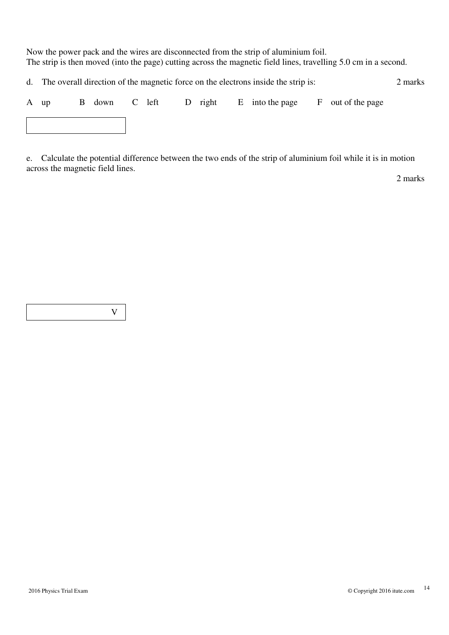Now the power pack and the wires are disconnected from the strip of aluminium foil. The strip is then moved (into the page) cutting across the magnetic field lines, travelling 5.0 cm in a second.

d. The overall direction of the magnetic force on the electrons inside the strip is: 2 marks

| A up |  |  |  | B down C left D right E into the page F out of the page |  |
|------|--|--|--|---------------------------------------------------------|--|
|      |  |  |  |                                                         |  |

e. Calculate the potential difference between the two ends of the strip of aluminium foil while it is in motion across the magnetic field lines.

2 marks

V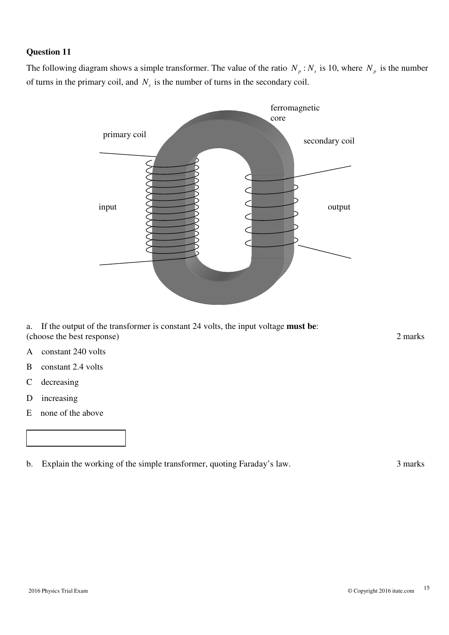The following diagram shows a simple transformer. The value of the ratio  $N_p$ :  $N_s$  is 10, where  $N_p$  is the number of turns in the primary coil, and  $N<sub>s</sub>$  is the number of turns in the secondary coil.



a. If the output of the transformer is constant 24 volts, the input voltage **must be**: (choose the best response) 2 marks

- A constant 240 volts
- B constant 2.4 volts
- C decreasing
- D increasing
- E none of the above

b. Explain the working of the simple transformer, quoting Faraday's law. 3 marks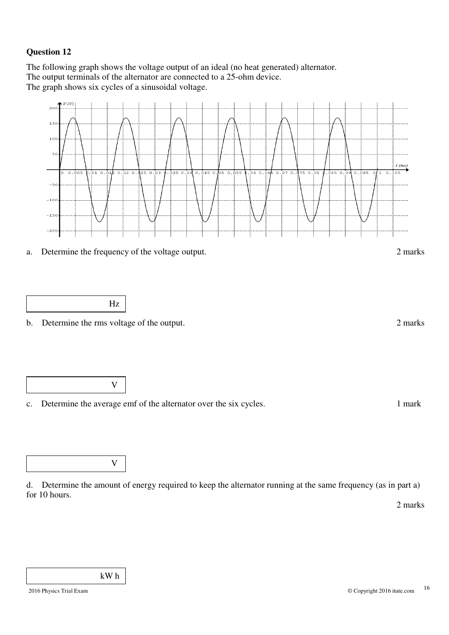The following graph shows the voltage output of an ideal (no heat generated) alternator. The output terminals of the alternator are connected to a 25-ohm device. The graph shows six cycles of a sinusoidal voltage.



c. Determine the average emf of the alternator over the six cycles. 1 mark

d. Determine the amount of energy required to keep the alternator running at the same frequency (as in part a) for 10 hours.

2 marks

V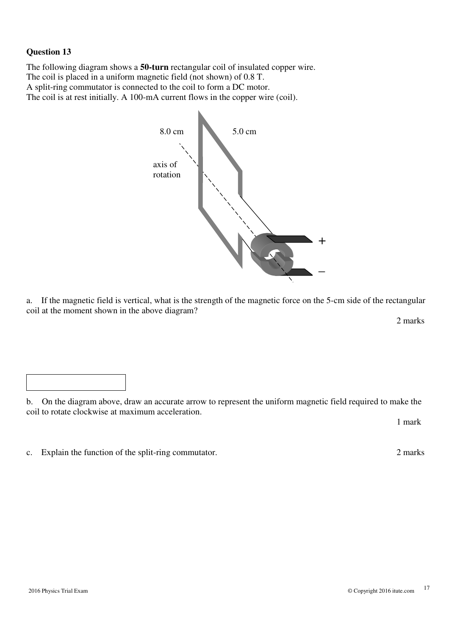The following diagram shows a **50-turn** rectangular coil of insulated copper wire. The coil is placed in a uniform magnetic field (not shown) of 0.8 T. A split-ring commutator is connected to the coil to form a DC motor. The coil is at rest initially. A 100-mA current flows in the copper wire (coil).



 $\mathbf{a}$ . If the magnetic field is vertical, what is the strength of the magnetic force on the 5-cm side of the rectangular coil at the moment shown in the above diagram?

2 marks

b. On the diagram above, draw an accurate arrow to represent the uniform magnetic field required to make the coil to rotate clockwise at maximum acceleration.

1 mark

c. Explain the function of the split-ring commutator. 2 marks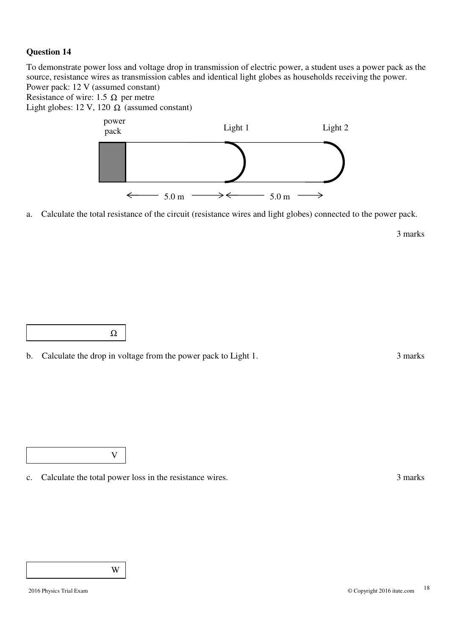To demonstrate power loss and voltage drop in transmission of electric power, a student uses a power pack as the source, resistance wires as transmission cables and identical light globes as households receiving the power. Power pack: 12 V (assumed constant)

Resistance of wire: 1.5  $\Omega$  per metre

Light globes: 12 V, 120  $\Omega$  (assumed constant)



a. Calculate the total resistance of the circuit (resistance wires and light globes) connected to the power pack.

3 marks



V

c. Calculate the total power loss in the resistance wires. 3 marks

W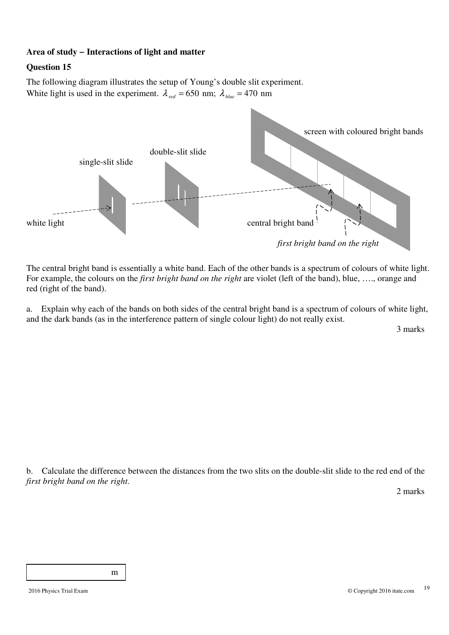#### **Area of study − Interactions of light and matter**

#### **Question 15**

The following diagram illustrates the setup of Young's double slit experiment. White light is used in the experiment.  $\lambda_{red} = 650$  nm;  $\lambda_{blue} = 470$  nm



The central bright band is essentially a white band. Each of the other bands is a spectrum of colours of white light. For example, the colours on the *first bright band on the right* are violet (left of the band), blue, …., orange and red (right of the band).

a. Explain why each of the bands on both sides of the central bright band is a spectrum of colours of white light, and the dark bands (as in the interference pattern of single colour light) do not really exist.

3 marks

b. Calculate the difference between the distances from the two slits on the double-slit slide to the red end of the *first bright band on the right*.

2 marks

m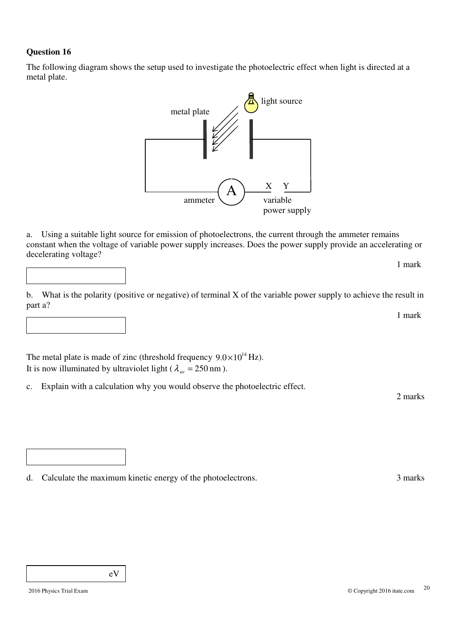The following diagram shows the setup used to investigate the photoelectric effect when light is directed at a metal plate.



a. Using a suitable light source for emission of photoelectrons, the current through the ammeter remains constant when the voltage of variable power supply increases. Does the power supply provide an accelerating or decelerating voltage?

b. What is the polarity (positive or negative) of terminal X of the variable power supply to achieve the result in part a?

The metal plate is made of zinc (threshold frequency  $9.0 \times 10^{14}$  Hz). It is now illuminated by ultraviolet light ( $\lambda_{uv} = 250 \text{ nm}$ ).

c. Explain with a calculation why you would observe the photoelectric effect.

2 marks

1 mark

1 mark

d. Calculate the maximum kinetic energy of the photoelectrons. 3 marks

eV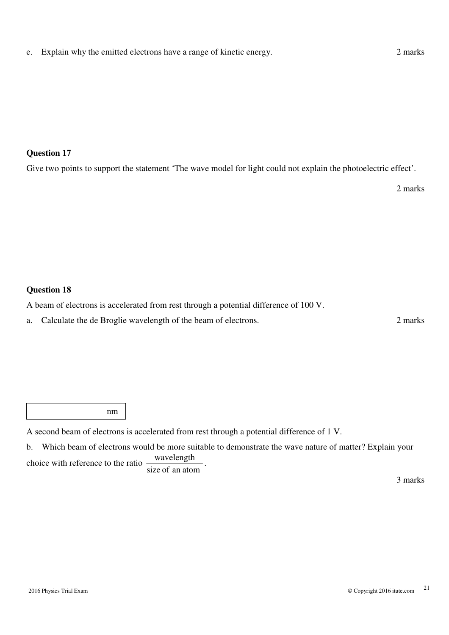Give two points to support the statement 'The wave model for light could not explain the photoelectric effect'.

2 marks

#### **Question 18**

A beam of electrons is accelerated from rest through a potential difference of 100 V.

a. Calculate the de Broglie wavelength of the beam of electrons. 2 marks

nm

A second beam of electrons is accelerated from rest through a potential difference of 1 V.

b. Which beam of electrons would be more suitable to demonstrate the wave nature of matter? Explain your choice with reference to the ratio wavelength .

size of an atom

3 marks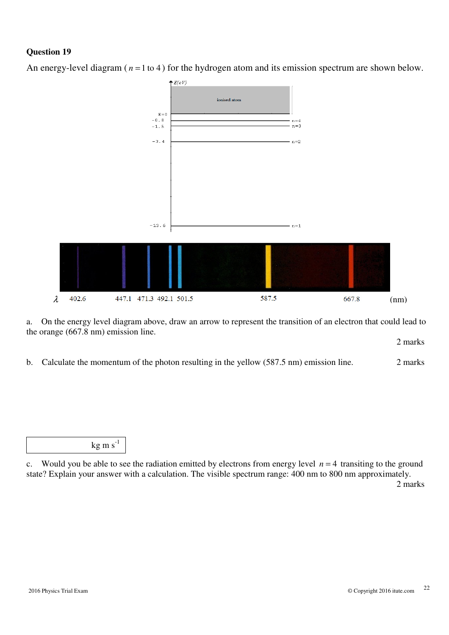

An energy-level diagram ( $n = 1$  to 4) for the hydrogen atom and its emission spectrum are shown below.

a. On the energy level diagram above, draw an arrow to represent the transition of an electron that could lead to the orange (667.8 nm) emission line.

2 marks

b. Calculate the momentum of the photon resulting in the yellow (587.5 nm) emission line. 2 marks

 $kg \text{ m s}^{-1}$ 

c. Would you be able to see the radiation emitted by electrons from energy level  $n = 4$  transiting to the ground state? Explain your answer with a calculation. The visible spectrum range: 400 nm to 800 nm approximately. 2 marks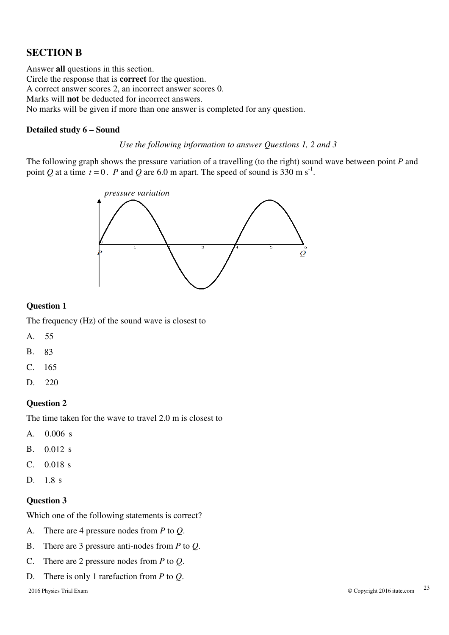### **SECTION B**

Answer **all** questions in this section. Circle the response that is **correct** for the question. A correct answer scores 2, an incorrect answer scores 0. Marks will **not** be deducted for incorrect answers. No marks will be given if more than one answer is completed for any question.

#### **Detailed study 6 – Sound**

*Use the following information to answer Questions 1, 2 and 3* 

The following graph shows the pressure variation of a travelling (to the right) sound wave between point *P* and point *Q* at a time  $t = 0$ . *P* and *Q* are 6.0 m apart. The speed of sound is 330 m s<sup>-1</sup>.



#### **Question 1**

The frequency (Hz) of the sound wave is closest to

- A. 55
- B. 83
- C. 165
- D. 220

#### **Question 2**

The time taken for the wave to travel 2.0 m is closest to

- A.  $0.006$  s
- $B.$  0.012 s
- $C. 0.018 s$
- D.  $1.8 \text{ s}$

#### **Question 3**

Which one of the following statements is correct?

- A. There are 4 pressure nodes from *P* to *Q*.
- B. There are 3 pressure anti-nodes from *P* to *Q*.
- C. There are 2 pressure nodes from *P* to *Q*.
- D. There is only 1 rarefaction from *P* to *Q*.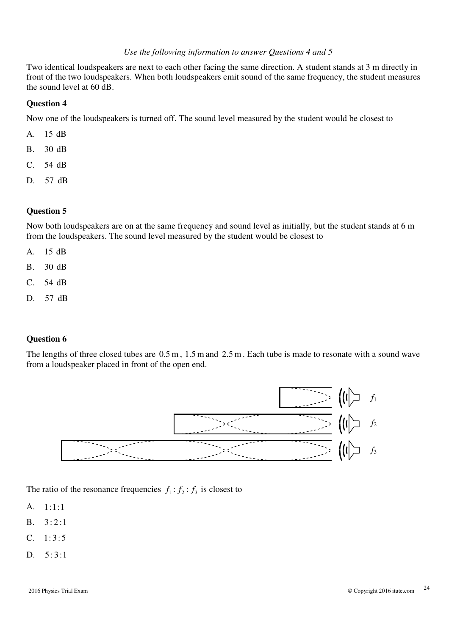#### *Use the following information to answer Questions 4 and 5*

Two identical loudspeakers are next to each other facing the same direction. A student stands at 3 m directly in front of the two loudspeakers. When both loudspeakers emit sound of the same frequency, the student measures the sound level at 60 dB.

#### **Question 4**

Now one of the loudspeakers is turned off. The sound level measured by the student would be closest to

- A. 15 dB
- B. 30 dB
- C. 54 dB
- D. 57 dB

#### **Question 5**

Now both loudspeakers are on at the same frequency and sound level as initially, but the student stands at 6 m from the loudspeakers. The sound level measured by the student would be closest to

- A. 15 dB
- B. 30 dB
- C. 54 dB
- D. 57 dB

#### **Question 6**

The lengths of three closed tubes are  $0.5 \text{ m}$ ,  $1.5 \text{ m}$  and  $2.5 \text{ m}$ . Each tube is made to resonate with a sound wave from a loudspeaker placed in front of the open end.



The ratio of the resonance frequencies  $f_1 : f_2 : f_3$  is closest to

- A. 1:1:1
- $B. \quad 3:2:1$
- $C. \quad 1:3:5$
- D.  $5:3:1$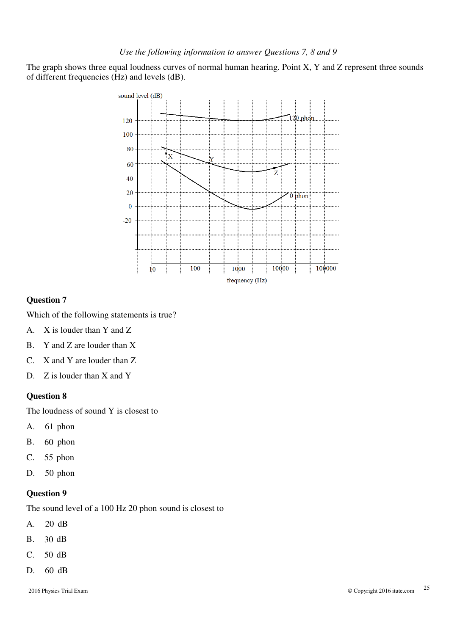#### *Use the following information to answer Questions 7, 8 and 9*

The graph shows three equal loudness curves of normal human hearing. Point X, Y and Z represent three sounds of different frequencies (Hz) and levels (dB).



#### **Question 7**

Which of the following statements is true?

- A. X is louder than Y and Z
- B. Y and Z are louder than X
- C. X and Y are louder than Z
- D. Z is louder than X and Y

#### **Question 8**

The loudness of sound Y is closest to

- A. 61 phon
- B. 60 phon
- C. 55 phon
- D. 50 phon

#### **Question 9**

The sound level of a 100 Hz 20 phon sound is closest to

- A. 20 dB
- B. 30 dB
- C. 50 dB
- D. 60 dB